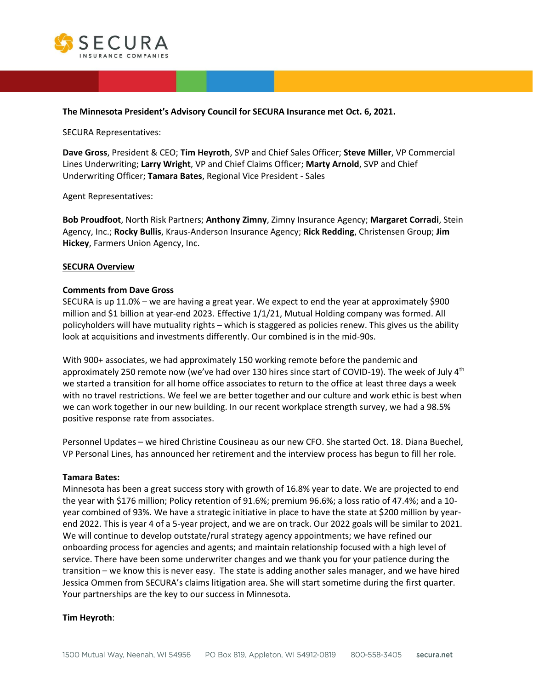

#### **The Minnesota President's Advisory Council for SECURA Insurance met Oct. 6, 2021.**

SECURA Representatives:

**Dave Gross**, President & CEO; **Tim Heyroth**, SVP and Chief Sales Officer; **Steve Miller**, VP Commercial Lines Underwriting; **Larry Wright**, VP and Chief Claims Officer; **Marty Arnold**, SVP and Chief Underwriting Officer; **Tamara Bates**, Regional Vice President - Sales

Agent Representatives:

**Bob Proudfoot**, North Risk Partners; **Anthony Zimny**, Zimny Insurance Agency; **Margaret Corradi**, Stein Agency, Inc.; **Rocky Bullis**, Kraus-Anderson Insurance Agency; **Rick Redding**, Christensen Group; **Jim Hickey**, Farmers Union Agency, Inc.

#### **SECURA Overview**

#### **Comments from Dave Gross**

SECURA is up 11.0% – we are having a great year. We expect to end the year at approximately \$900 million and \$1 billion at year-end 2023. Effective 1/1/21, Mutual Holding company was formed. All policyholders will have mutuality rights – which is staggered as policies renew. This gives us the ability look at acquisitions and investments differently. Our combined is in the mid-90s.

With 900+ associates, we had approximately 150 working remote before the pandemic and approximately 250 remote now (we've had over 130 hires since start of COVID-19). The week of July  $4<sup>th</sup>$ we started a transition for all home office associates to return to the office at least three days a week with no travel restrictions. We feel we are better together and our culture and work ethic is best when we can work together in our new building. In our recent workplace strength survey, we had a 98.5% positive response rate from associates.

Personnel Updates – we hired Christine Cousineau as our new CFO. She started Oct. 18. Diana Buechel, VP Personal Lines, has announced her retirement and the interview process has begun to fill her role.

#### **Tamara Bates:**

Minnesota has been a great success story with growth of 16.8% year to date. We are projected to end the year with \$176 million; Policy retention of 91.6%; premium 96.6%; a loss ratio of 47.4%; and a 10 year combined of 93%. We have a strategic initiative in place to have the state at \$200 million by yearend 2022. This is year 4 of a 5-year project, and we are on track. Our 2022 goals will be similar to 2021. We will continue to develop outstate/rural strategy agency appointments; we have refined our onboarding process for agencies and agents; and maintain relationship focused with a high level of service. There have been some underwriter changes and we thank you for your patience during the transition – we know this is never easy. The state is adding another sales manager, and we have hired Jessica Ommen from SECURA's claims litigation area. She will start sometime during the first quarter. Your partnerships are the key to our success in Minnesota.

### **Tim Heyroth**: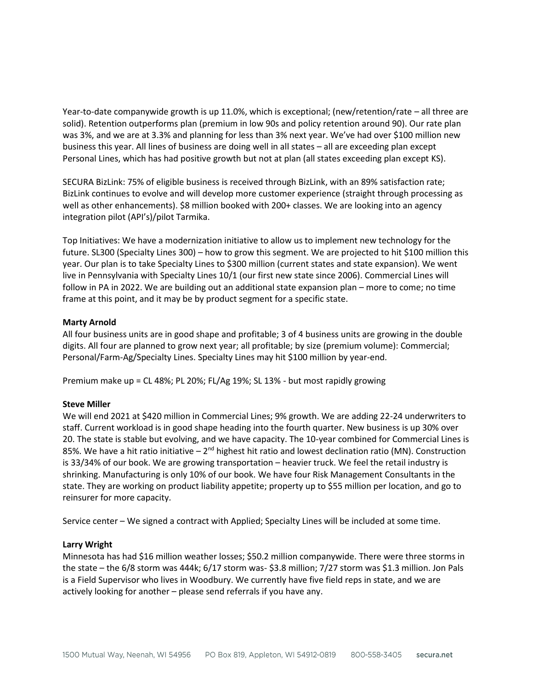Year-to-date companywide growth is up 11.0%, which is exceptional; (new/retention/rate – all three are solid). Retention outperforms plan (premium in low 90s and policy retention around 90). Our rate plan was 3%, and we are at 3.3% and planning for less than 3% next year. We've had over \$100 million new business this year. All lines of business are doing well in all states – all are exceeding plan except Personal Lines, which has had positive growth but not at plan (all states exceeding plan except KS).

SECURA BizLink: 75% of eligible business is received through BizLink, with an 89% satisfaction rate; BizLink continues to evolve and will develop more customer experience (straight through processing as well as other enhancements). \$8 million booked with 200+ classes. We are looking into an agency integration pilot (API's)/pilot Tarmika.

Top Initiatives: We have a modernization initiative to allow us to implement new technology for the future. SL300 (Specialty Lines 300) – how to grow this segment. We are projected to hit \$100 million this year. Our plan is to take Specialty Lines to \$300 million (current states and state expansion). We went live in Pennsylvania with Specialty Lines 10/1 (our first new state since 2006). Commercial Lines will follow in PA in 2022. We are building out an additional state expansion plan – more to come; no time frame at this point, and it may be by product segment for a specific state.

### **Marty Arnold**

All four business units are in good shape and profitable; 3 of 4 business units are growing in the double digits. All four are planned to grow next year; all profitable; by size (premium volume): Commercial; Personal/Farm-Ag/Specialty Lines. Specialty Lines may hit \$100 million by year-end.

Premium make up = CL 48%; PL 20%; FL/Ag 19%; SL 13% - but most rapidly growing

### **Steve Miller**

We will end 2021 at \$420 million in Commercial Lines; 9% growth. We are adding 22-24 underwriters to staff. Current workload is in good shape heading into the fourth quarter. New business is up 30% over 20. The state is stable but evolving, and we have capacity. The 10-year combined for Commercial Lines is 85%. We have a hit ratio initiative – 2<sup>nd</sup> highest hit ratio and lowest declination ratio (MN). Construction is 33/34% of our book. We are growing transportation – heavier truck. We feel the retail industry is shrinking. Manufacturing is only 10% of our book. We have four Risk Management Consultants in the state. They are working on product liability appetite; property up to \$55 million per location, and go to reinsurer for more capacity.

Service center – We signed a contract with Applied; Specialty Lines will be included at some time.

## **Larry Wright**

Minnesota has had \$16 million weather losses; \$50.2 million companywide. There were three storms in the state – the 6/8 storm was 444k; 6/17 storm was- \$3.8 million; 7/27 storm was \$1.3 million. Jon Pals is a Field Supervisor who lives in Woodbury. We currently have five field reps in state, and we are actively looking for another – please send referrals if you have any.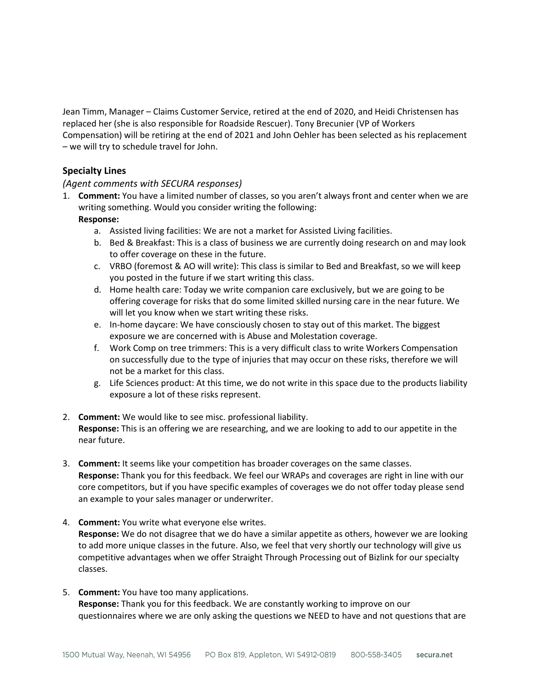Jean Timm, Manager – Claims Customer Service, retired at the end of 2020, and Heidi Christensen has replaced her (she is also responsible for Roadside Rescuer). Tony Brecunier (VP of Workers Compensation) will be retiring at the end of 2021 and John Oehler has been selected as his replacement – we will try to schedule travel for John.

# **Specialty Lines**

## *(Agent comments with SECURA responses)*

- 1. **Comment:** You have a limited number of classes, so you aren't always front and center when we are writing something. Would you consider writing the following: **Response:** 
	- a. Assisted living facilities: We are not a market for Assisted Living facilities.
	- b. Bed & Breakfast: This is a class of business we are currently doing research on and may look to offer coverage on these in the future.
	- c. VRBO (foremost & AO will write): This class is similar to Bed and Breakfast, so we will keep you posted in the future if we start writing this class.
	- d. Home health care: Today we write companion care exclusively, but we are going to be offering coverage for risks that do some limited skilled nursing care in the near future. We will let you know when we start writing these risks.
	- e. In-home daycare: We have consciously chosen to stay out of this market. The biggest exposure we are concerned with is Abuse and Molestation coverage.
	- f. Work Comp on tree trimmers: This is a very difficult class to write Workers Compensation on successfully due to the type of injuries that may occur on these risks, therefore we will not be a market for this class.
	- g. Life Sciences product: At this time, we do not write in this space due to the products liability exposure a lot of these risks represent.

### 2. **Comment:** We would like to see misc. professional liability. **Response:** This is an offering we are researching, and we are looking to add to our appetite in the near future.

- 3. **Comment:** It seems like your competition has broader coverages on the same classes. **Response:** Thank you for this feedback. We feel our WRAPs and coverages are right in line with our core competitors, but if you have specific examples of coverages we do not offer today please send an example to your sales manager or underwriter.
- 4. **Comment:** You write what everyone else writes. **Response:** We do not disagree that we do have a similar appetite as others, however we are looking to add more unique classes in the future. Also, we feel that very shortly our technology will give us competitive advantages when we offer Straight Through Processing out of Bizlink for our specialty classes.
- 5. **Comment:** You have too many applications. **Response:** Thank you for this feedback. We are constantly working to improve on our questionnaires where we are only asking the questions we NEED to have and not questions that are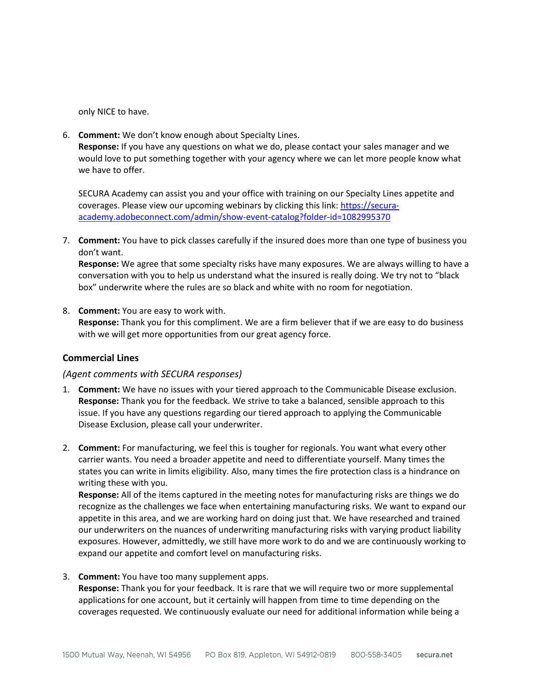only NICE to have.

6. **Comment:** We don't know enough about Specialty Lines. **Response:** If you have any questions on what we do, please contact your sales manager and we would love to put something together with your agency where we can let more people know what we have to offer.

SECURA Academy can assist you and your office with training on our Specialty Lines appetite and coverages. Please view our upcoming webinars by clicking this link: [https://secura](https://secura-academy.adobeconnect.com/admin/show-event-catalog?folder-id=1082995370)[academy.adobeconnect.com/admin/show-event-catalog?folder-id=1082995370](https://secura-academy.adobeconnect.com/admin/show-event-catalog?folder-id=1082995370)

7. **Comment:** You have to pick classes carefully if the insured does more than one type of business you don't want.

**Response:** We agree that some specialty risks have many exposures. We are always willing to have a conversation with you to help us understand what the insured is really doing. We try not to "black box" underwrite where the rules are so black and white with no room for negotiation.

8. **Comment:** You are easy to work with. **Response:** Thank you for this compliment. We are a firm believer that if we are easy to do business with we will get more opportunities from our great agency force.

## **Commercial Lines**

### *(Agent comments with SECURA responses)*

- 1. **Comment:** We have no issues with your tiered approach to the Communicable Disease exclusion. **Response:** Thank you for the feedback. We strive to take a balanced, sensible approach to this issue. If you have any questions regarding our tiered approach to applying the Communicable Disease Exclusion, please call your underwriter.
- 2. **Comment:** For manufacturing, we feel this is tougher for regionals. You want what every other carrier wants. You need a broader appetite and need to differentiate yourself. Many times the states you can write in limits eligibility. Also, many times the fire protection class is a hindrance on writing these with you.

**Response:** All of the items captured in the meeting notes for manufacturing risks are things we do recognize as the challenges we face when entertaining manufacturing risks. We want to expand our appetite in this area, and we are working hard on doing just that. We have researched and trained our underwriters on the nuances of underwriting manufacturing risks with varying product liability exposures. However, admittedly, we still have more work to do and we are continuously working to expand our appetite and comfort level on manufacturing risks.

3. **Comment:** You have too many supplement apps.

**Response:** Thank you for your feedback. It is rare that we will require two or more supplemental applications for one account, but it certainly will happen from time to time depending on the coverages requested. We continuously evaluate our need for additional information while being a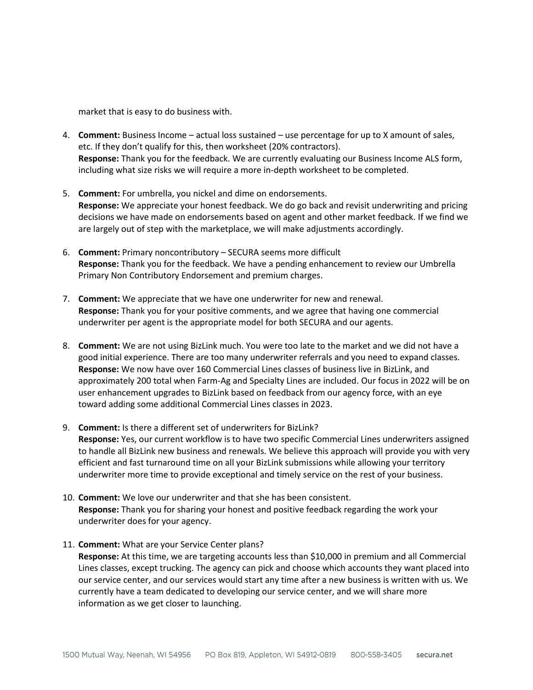market that is easy to do business with.

- 4. **Comment:** Business Income actual loss sustained use percentage for up to X amount of sales, etc. If they don't qualify for this, then worksheet (20% contractors). **Response:** Thank you for the feedback. We are currently evaluating our Business Income ALS form, including what size risks we will require a more in-depth worksheet to be completed.
- 5. **Comment:** For umbrella, you nickel and dime on endorsements. **Response:** We appreciate your honest feedback. We do go back and revisit underwriting and pricing decisions we have made on endorsements based on agent and other market feedback. If we find we are largely out of step with the marketplace, we will make adjustments accordingly.
- 6. **Comment:** Primary noncontributory SECURA seems more difficult **Response:** Thank you for the feedback. We have a pending enhancement to review our Umbrella Primary Non Contributory Endorsement and premium charges.
- 7. **Comment:** We appreciate that we have one underwriter for new and renewal. **Response:** Thank you for your positive comments, and we agree that having one commercial underwriter per agent is the appropriate model for both SECURA and our agents.
- 8. **Comment:** We are not using BizLink much. You were too late to the market and we did not have a good initial experience. There are too many underwriter referrals and you need to expand classes. **Response:** We now have over 160 Commercial Lines classes of business live in BizLink, and approximately 200 total when Farm-Ag and Specialty Lines are included. Our focus in 2022 will be on user enhancement upgrades to BizLink based on feedback from our agency force, with an eye toward adding some additional Commercial Lines classes in 2023.
- 9. **Comment:** Is there a different set of underwriters for BizLink? **Response:** Yes, our current workflow is to have two specific Commercial Lines underwriters assigned to handle all BizLink new business and renewals. We believe this approach will provide you with very efficient and fast turnaround time on all your BizLink submissions while allowing your territory underwriter more time to provide exceptional and timely service on the rest of your business.
- 10. **Comment:** We love our underwriter and that she has been consistent. **Response:** Thank you for sharing your honest and positive feedback regarding the work your underwriter does for your agency.
- 11. **Comment:** What are your Service Center plans? **Response:** At this time, we are targeting accounts less than \$10,000 in premium and all Commercial Lines classes, except trucking. The agency can pick and choose which accounts they want placed into our service center, and our services would start any time after a new business is written with us. We currently have a team dedicated to developing our service center, and we will share more information as we get closer to launching.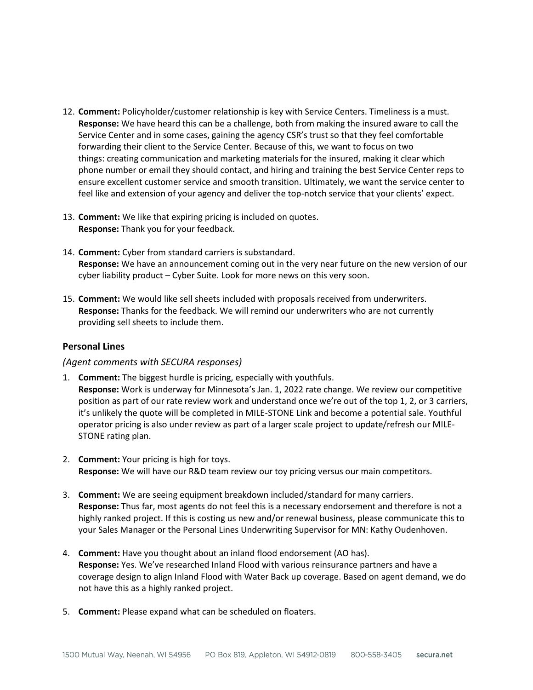- 12. **Comment:** Policyholder/customer relationship is key with Service Centers. Timeliness is a must. **Response:** We have heard this can be a challenge, both from making the insured aware to call the Service Center and in some cases, gaining the agency CSR's trust so that they feel comfortable forwarding their client to the Service Center. Because of this, we want to focus on two things: creating communication and marketing materials for the insured, making it clear which phone number or email they should contact, and hiring and training the best Service Center reps to ensure excellent customer service and smooth transition. Ultimately, we want the service center to feel like and extension of your agency and deliver the top-notch service that your clients' expect.
- 13. **Comment:** We like that expiring pricing is included on quotes. **Response:** Thank you for your feedback.
- 14. **Comment:** Cyber from standard carriers is substandard. **Response:** We have an announcement coming out in the very near future on the new version of our cyber liability product – Cyber Suite. Look for more news on this very soon.
- 15. **Comment:** We would like sell sheets included with proposals received from underwriters. **Response:** Thanks for the feedback. We will remind our underwriters who are not currently providing sell sheets to include them.

### **Personal Lines**

## *(Agent comments with SECURA responses)*

- 1. **Comment:** The biggest hurdle is pricing, especially with youthfuls. **Response:** Work is underway for Minnesota's Jan. 1, 2022 rate change. We review our competitive position as part of our rate review work and understand once we're out of the top 1, 2, or 3 carriers, it's unlikely the quote will be completed in MILE-STONE Link and become a potential sale. Youthful operator pricing is also under review as part of a larger scale project to update/refresh our MILE-STONE rating plan.
- 2. **Comment:** Your pricing is high for toys. **Response:** We will have our R&D team review our toy pricing versus our main competitors.
- 3. **Comment:** We are seeing equipment breakdown included/standard for many carriers. **Response:** Thus far, most agents do not feel this is a necessary endorsement and therefore is not a highly ranked project. If this is costing us new and/or renewal business, please communicate this to your Sales Manager or the Personal Lines Underwriting Supervisor for MN: Kathy Oudenhoven.
- 4. **Comment:** Have you thought about an inland flood endorsement (AO has). **Response:** Yes. We've researched Inland Flood with various reinsurance partners and have a coverage design to align Inland Flood with Water Back up coverage. Based on agent demand, we do not have this as a highly ranked project.
- 5. **Comment:** Please expand what can be scheduled on floaters.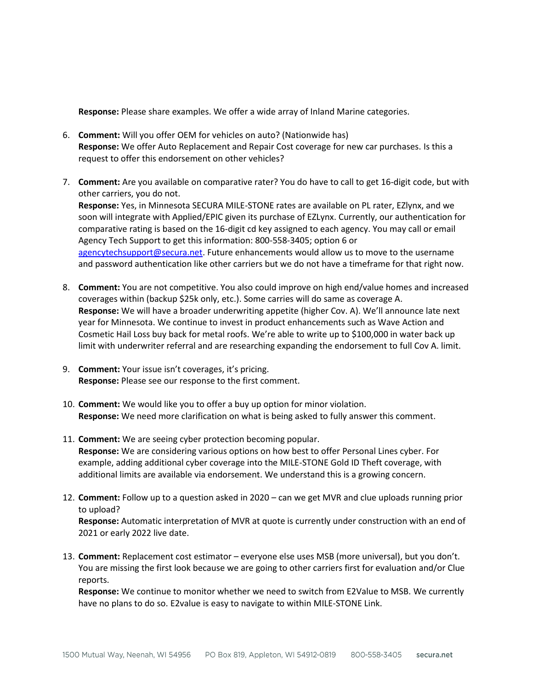**Response:** Please share examples. We offer a wide array of Inland Marine categories.

- 6. **Comment:** Will you offer OEM for vehicles on auto? (Nationwide has) **Response:** We offer Auto Replacement and Repair Cost coverage for new car purchases. Is this a request to offer this endorsement on other vehicles?
- 7. **Comment:** Are you available on comparative rater? You do have to call to get 16-digit code, but with other carriers, you do not. **Response:** Yes, in Minnesota SECURA MILE-STONE rates are available on PL rater, EZlynx, and we soon will integrate with Applied/EPIC given its purchase of EZLynx. Currently, our authentication for comparative rating is based on the 16-digit cd key assigned to each agency. You may call or email Agency Tech Support to get this information: 800-558-3405; option 6 or [agencytechsupport@secura.net.](mailto:agencytechsupport@secura.net) Future enhancements would allow us to move to the username and password authentication like other carriers but we do not have a timeframe for that right now.
- 8. **Comment:** You are not competitive. You also could improve on high end/value homes and increased coverages within (backup \$25k only, etc.). Some carries will do same as coverage A. **Response:** We will have a broader underwriting appetite (higher Cov. A). We'll announce late next year for Minnesota. We continue to invest in product enhancements such as Wave Action and Cosmetic Hail Loss buy back for metal roofs. We're able to write up to \$100,000 in water back up limit with underwriter referral and are researching expanding the endorsement to full Cov A. limit.
- 9. **Comment:** Your issue isn't coverages, it's pricing. **Response:** Please see our response to the first comment.
- 10. **Comment:** We would like you to offer a buy up option for minor violation. **Response:** We need more clarification on what is being asked to fully answer this comment.
- 11. **Comment:** We are seeing cyber protection becoming popular. **Response:** We are considering various options on how best to offer Personal Lines cyber. For example, adding additional cyber coverage into the MILE-STONE Gold ID Theft coverage, with additional limits are available via endorsement. We understand this is a growing concern.
- 12. **Comment:** Follow up to a question asked in 2020 can we get MVR and clue uploads running prior to upload?

**Response:** Automatic interpretation of MVR at quote is currently under construction with an end of 2021 or early 2022 live date.

13. **Comment:** Replacement cost estimator – everyone else uses MSB (more universal), but you don't. You are missing the first look because we are going to other carriers first for evaluation and/or Clue reports.

**Response:** We continue to monitor whether we need to switch from E2Value to MSB. We currently have no plans to do so. E2value is easy to navigate to within MILE-STONE Link.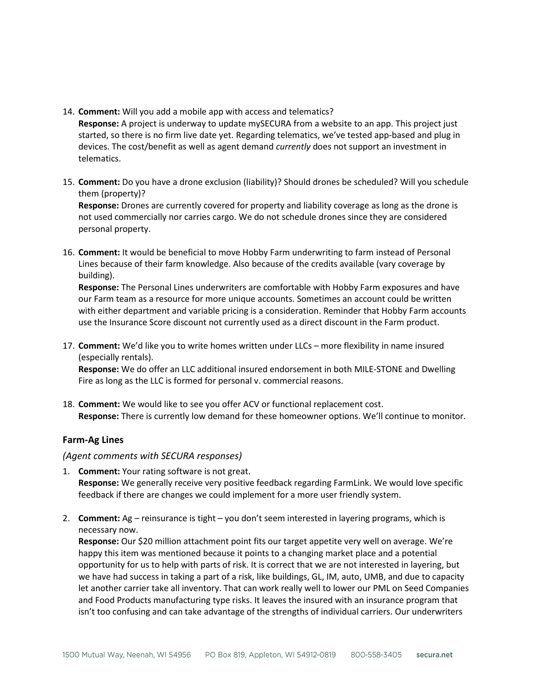14. **Comment:** Will you add a mobile app with access and telematics?

**Response:** A project is underway to update mySECURA from a website to an app. This project just started, so there is no firm live date yet. Regarding telematics, we've tested app-based and plug in devices. The cost/benefit as well as agent demand *currently* does not support an investment in telematics.

15. **Comment:** Do you have a drone exclusion (liability)? Should drones be scheduled? Will you schedule them (property)?

**Response:** Drones are currently covered for property and liability coverage as long as the drone is not used commercially nor carries cargo. We do not schedule drones since they are considered personal property.

16. **Comment:** It would be beneficial to move Hobby Farm underwriting to farm instead of Personal Lines because of their farm knowledge. Also because of the credits available (vary coverage by building).

**Response:** The Personal Lines underwriters are comfortable with Hobby Farm exposures and have our Farm team as a resource for more unique accounts. Sometimes an account could be written with either department and variable pricing is a consideration. Reminder that Hobby Farm accounts use the Insurance Score discount not currently used as a direct discount in the Farm product.

17. **Comment:** We'd like you to write homes written under LLCs – more flexibility in name insured (especially rentals).

**Response:** We do offer an LLC additional insured endorsement in both MILE-STONE and Dwelling Fire as long as the LLC is formed for personal v. commercial reasons.

18. **Comment:** We would like to see you offer ACV or functional replacement cost. **Response:** There is currently low demand for these homeowner options. We'll continue to monitor.

# **Farm-Ag Lines**

## *(Agent comments with SECURA responses)*

- 1. **Comment:** Your rating software is not great. **Response:** We generally receive very positive feedback regarding FarmLink. We would love specific feedback if there are changes we could implement for a more user friendly system.
- 2. **Comment:** Ag reinsurance is tight you don't seem interested in layering programs, which is necessary now.

**Response:** Our \$20 million attachment point fits our target appetite very well on average. We're happy this item was mentioned because it points to a changing market place and a potential opportunity for us to help with parts of risk. It is correct that we are not interested in layering, but we have had success in taking a part of a risk, like buildings, GL, IM, auto, UMB, and due to capacity let another carrier take all inventory. That can work really well to lower our PML on Seed Companies and Food Products manufacturing type risks. It leaves the insured with an insurance program that isn't too confusing and can take advantage of the strengths of individual carriers. Our underwriters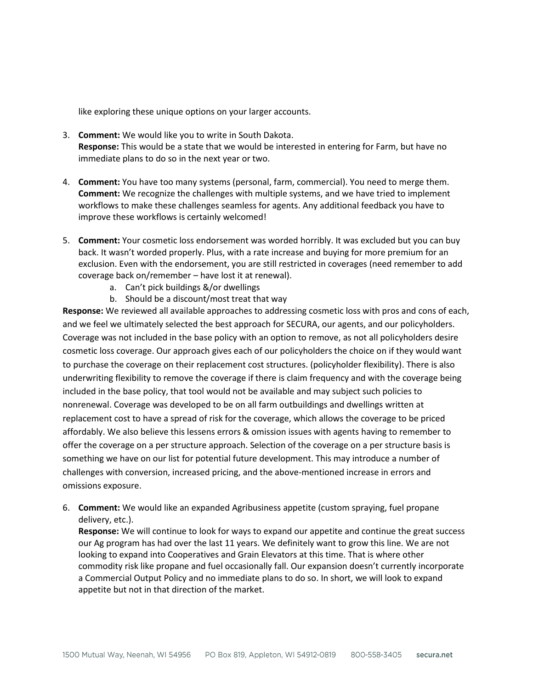like exploring these unique options on your larger accounts.

- 3. **Comment:** We would like you to write in South Dakota. **Response:** This would be a state that we would be interested in entering for Farm, but have no immediate plans to do so in the next year or two.
- 4. **Comment:** You have too many systems (personal, farm, commercial). You need to merge them. **Comment:** We recognize the challenges with multiple systems, and we have tried to implement workflows to make these challenges seamless for agents. Any additional feedback you have to improve these workflows is certainly welcomed!
- 5. **Comment:** Your cosmetic loss endorsement was worded horribly. It was excluded but you can buy back. It wasn't worded properly. Plus, with a rate increase and buying for more premium for an exclusion. Even with the endorsement, you are still restricted in coverages (need remember to add coverage back on/remember – have lost it at renewal).
	- a. Can't pick buildings &/or dwellings
	- b. Should be a discount/most treat that way

**Response:** We reviewed all available approaches to addressing cosmetic loss with pros and cons of each, and we feel we ultimately selected the best approach for SECURA, our agents, and our policyholders. Coverage was not included in the base policy with an option to remove, as not all policyholders desire cosmetic loss coverage. Our approach gives each of our policyholders the choice on if they would want to purchase the coverage on their replacement cost structures. (policyholder flexibility). There is also underwriting flexibility to remove the coverage if there is claim frequency and with the coverage being included in the base policy, that tool would not be available and may subject such policies to nonrenewal. Coverage was developed to be on all farm outbuildings and dwellings written at replacement cost to have a spread of risk for the coverage, which allows the coverage to be priced affordably. We also believe this lessens errors & omission issues with agents having to remember to offer the coverage on a per structure approach. Selection of the coverage on a per structure basis is something we have on our list for potential future development. This may introduce a number of challenges with conversion, increased pricing, and the above-mentioned increase in errors and omissions exposure.

6. **Comment:** We would like an expanded Agribusiness appetite (custom spraying, fuel propane delivery, etc.).

**Response:** We will continue to look for ways to expand our appetite and continue the great success our Ag program has had over the last 11 years. We definitely want to grow this line. We are not looking to expand into Cooperatives and Grain Elevators at this time. That is where other commodity risk like propane and fuel occasionally fall. Our expansion doesn't currently incorporate a Commercial Output Policy and no immediate plans to do so. In short, we will look to expand appetite but not in that direction of the market.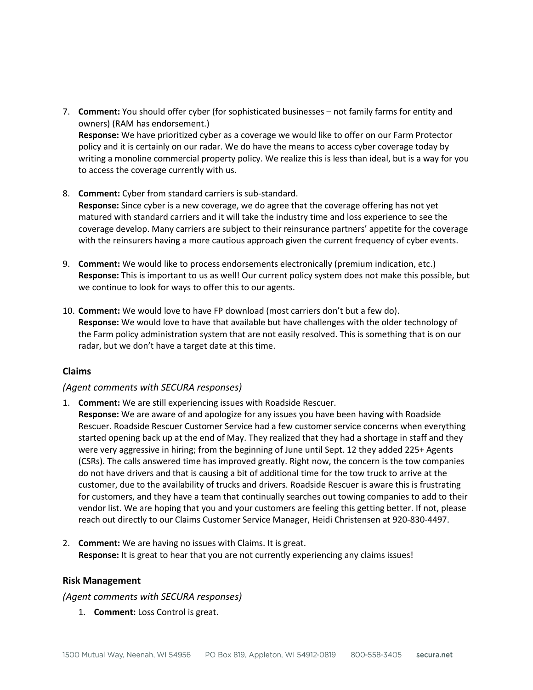- 7. **Comment:** You should offer cyber (for sophisticated businesses not family farms for entity and owners) (RAM has endorsement.) **Response:** We have prioritized cyber as a coverage we would like to offer on our Farm Protector policy and it is certainly on our radar. We do have the means to access cyber coverage today by writing a monoline commercial property policy. We realize this is less than ideal, but is a way for you to access the coverage currently with us.
- 8. **Comment:** Cyber from standard carriers is sub-standard. **Response:** Since cyber is a new coverage, we do agree that the coverage offering has not yet matured with standard carriers and it will take the industry time and loss experience to see the coverage develop. Many carriers are subject to their reinsurance partners' appetite for the coverage with the reinsurers having a more cautious approach given the current frequency of cyber events.
- 9. **Comment:** We would like to process endorsements electronically (premium indication, etc.) **Response:** This is important to us as well! Our current policy system does not make this possible, but we continue to look for ways to offer this to our agents.
- 10. **Comment:** We would love to have FP download (most carriers don't but a few do). **Response:** We would love to have that available but have challenges with the older technology of the Farm policy administration system that are not easily resolved. This is something that is on our radar, but we don't have a target date at this time.

## **Claims**

### *(Agent comments with SECURA responses)*

- 1. **Comment:** We are still experiencing issues with Roadside Rescuer.
	- **Response:** We are aware of and apologize for any issues you have been having with Roadside Rescuer. Roadside Rescuer Customer Service had a few customer service concerns when everything started opening back up at the end of May. They realized that they had a shortage in staff and they were very aggressive in hiring; from the beginning of June until Sept. 12 they added 225+ Agents (CSRs). The calls answered time has improved greatly. Right now, the concern is the tow companies do not have drivers and that is causing a bit of additional time for the tow truck to arrive at the customer, due to the availability of trucks and drivers. Roadside Rescuer is aware this is frustrating for customers, and they have a team that continually searches out towing companies to add to their vendor list. We are hoping that you and your customers are feeling this getting better. If not, please reach out directly to our Claims Customer Service Manager, Heidi Christensen at 920-830-4497.
- 2. **Comment:** We are having no issues with Claims. It is great. **Response:** It is great to hear that you are not currently experiencing any claims issues!

### **Risk Management**

### *(Agent comments with SECURA responses)*

1. **Comment:** Loss Control is great.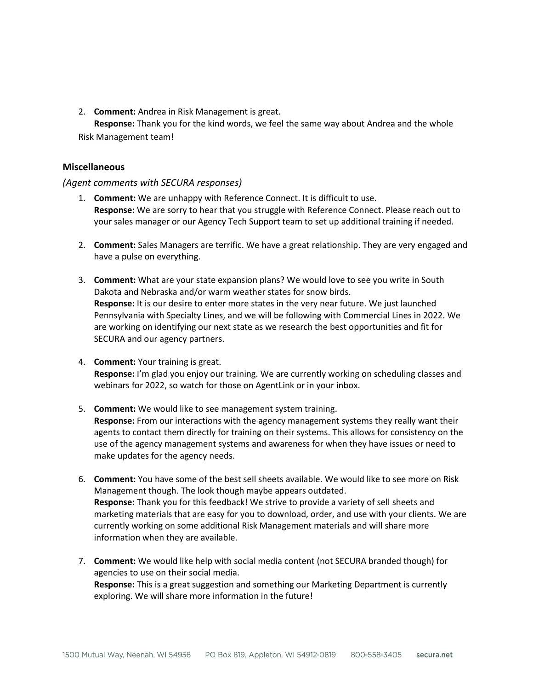2. **Comment:** Andrea in Risk Management is great.

**Response:** Thank you for the kind words, we feel the same way about Andrea and the whole Risk Management team!

## **Miscellaneous**

## *(Agent comments with SECURA responses)*

- 1. **Comment:** We are unhappy with Reference Connect. It is difficult to use. **Response:** We are sorry to hear that you struggle with Reference Connect. Please reach out to your sales manager or our Agency Tech Support team to set up additional training if needed.
- 2. **Comment:** Sales Managers are terrific. We have a great relationship. They are very engaged and have a pulse on everything.
- 3. **Comment:** What are your state expansion plans? We would love to see you write in South Dakota and Nebraska and/or warm weather states for snow birds. **Response:** It is our desire to enter more states in the very near future. We just launched Pennsylvania with Specialty Lines, and we will be following with Commercial Lines in 2022. We are working on identifying our next state as we research the best opportunities and fit for SECURA and our agency partners.
- 4. **Comment:** Your training is great. **Response:** I'm glad you enjoy our training. We are currently working on scheduling classes and webinars for 2022, so watch for those on AgentLink or in your inbox.
- 5. **Comment:** We would like to see management system training. **Response:** From our interactions with the agency management systems they really want their agents to contact them directly for training on their systems. This allows for consistency on the use of the agency management systems and awareness for when they have issues or need to make updates for the agency needs.
- 6. **Comment:** You have some of the best sell sheets available. We would like to see more on Risk Management though. The look though maybe appears outdated. **Response:** Thank you for this feedback! We strive to provide a variety of sell sheets and marketing materials that are easy for you to download, order, and use with your clients. We are currently working on some additional Risk Management materials and will share more information when they are available.
- 7. **Comment:** We would like help with social media content (not SECURA branded though) for agencies to use on their social media. **Response:** This is a great suggestion and something our Marketing Department is currently exploring. We will share more information in the future!